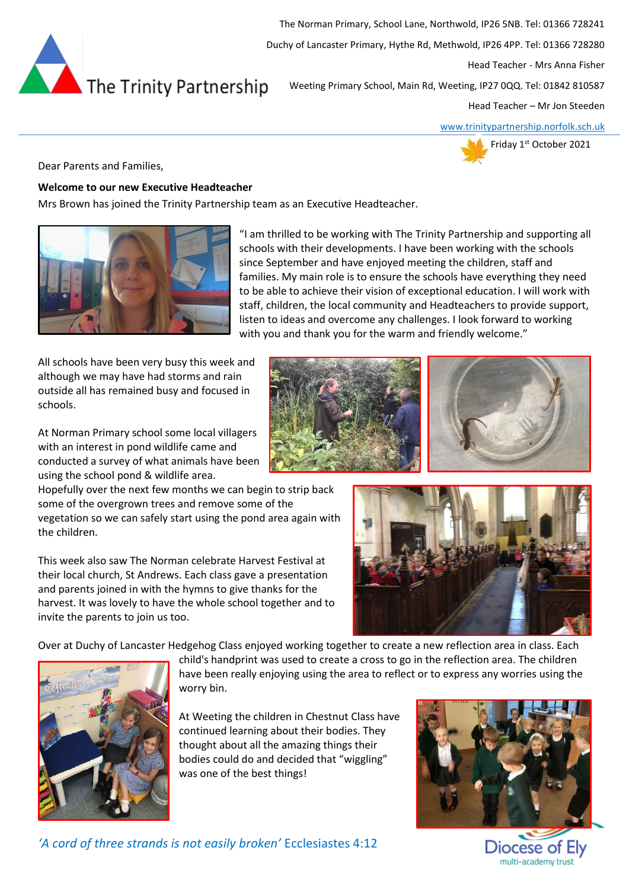

The Norman Primary, School Lane, Northwold, IP26 5NB. Tel: 01366 728241 Duchy of Lancaster Primary, Hythe Rd, Methwold, IP26 4PP. Tel: 01366 728280 Head Teacher - Mrs Anna Fisher Weeting Primary School, Main Rd, Weeting, IP27 0QQ. Tel: 01842 810587

Head Teacher – Mr Jon Steeden

[www.trinitypartnership.norfolk.sch.uk](http://www.trinitypartnership.norfolk.sch.uk/)



Dear Parents and Families,

### **Welcome to our new Executive Headteacher**

Mrs Brown has joined the Trinity Partnership team as an Executive Headteacher.



"I am thrilled to be working with The Trinity Partnership and supporting all schools with their developments. I have been working with the schools since September and have enjoyed meeting the children, staff and families. My main role is to ensure the schools have everything they need to be able to achieve their vision of exceptional education. I will work with staff, children, the local community and Headteachers to provide support, listen to ideas and overcome any challenges. I look forward to working with you and thank you for the warm and friendly welcome."

All schools have been very busy this week and although we may have had storms and rain outside all has remained busy and focused in schools.

At Norman Primary school some local villagers with an interest in pond wildlife came and conducted a survey of what animals have been using the school pond & wildlife area.

Hopefully over the next few months we can begin to strip back some of the overgrown trees and remove some of the vegetation so we can safely start using the pond area again with the children.

This week also saw The Norman celebrate Harvest Festival at their local church, St Andrews. Each class gave a presentation and parents joined in with the hymns to give thanks for the harvest. It was lovely to have the whole school together and to invite the parents to join us too.

Over at Duchy of Lancaster Hedgehog Class enjoyed working together to create a new reflection area in class. Each



child's handprint was used to create a cross to go in the reflection area. The children have been really enjoying using the area to reflect or to express any worries using the worry bin.

At Weeting the children in Chestnut Class have continued learning about their bodies. They thought about all the amazing things their bodies could do and decided that "wiggling" was one of the best things!



Diocese of Ely multi-academy trust

*'A cord of three strands is not easily broken'* Ecclesiastes 4:12